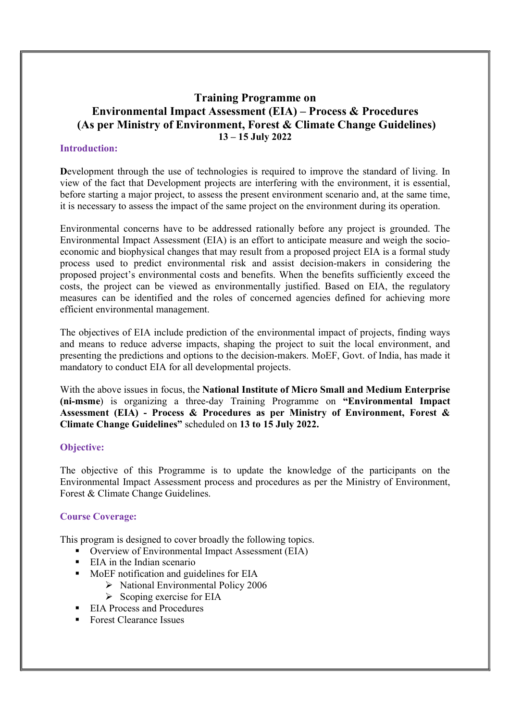# Training Programme on Environmental Impact Assessment (EIA) – Process & Procedures (As per Ministry of Environment, Forest & Climate Change Guidelines) 13 – 15 July 2022

## Introduction:

Development through the use of technologies is required to improve the standard of living. In view of the fact that Development projects are interfering with the environment, it is essential, before starting a major project, to assess the present environment scenario and, at the same time, it is necessary to assess the impact of the same project on the environment during its operation.

Environmental concerns have to be addressed rationally before any project is grounded. The Environmental Impact Assessment (EIA) is an effort to anticipate measure and weigh the socioeconomic and biophysical changes that may result from a proposed project EIA is a formal study process used to predict environmental risk and assist decision-makers in considering the proposed project's environmental costs and benefits. When the benefits sufficiently exceed the costs, the project can be viewed as environmentally justified. Based on EIA, the regulatory measures can be identified and the roles of concerned agencies defined for achieving more efficient environmental management.

The objectives of EIA include prediction of the environmental impact of projects, finding ways and means to reduce adverse impacts, shaping the project to suit the local environment, and presenting the predictions and options to the decision-makers. MoEF, Govt. of India, has made it mandatory to conduct EIA for all developmental projects.

With the above issues in focus, the **National Institute of Micro Small and Medium Enterprise** (ni-msme) is organizing a three-day Training Programme on "Environmental Impact Assessment (EIA) - Process & Procedures as per Ministry of Environment, Forest & Climate Change Guidelines" scheduled on 13 to 15 July 2022.

#### Objective:

The objective of this Programme is to update the knowledge of the participants on the Environmental Impact Assessment process and procedures as per the Ministry of Environment, Forest & Climate Change Guidelines.

## Course Coverage:

This program is designed to cover broadly the following topics.

- Overview of Environmental Impact Assessment (EIA)
- EIA in the Indian scenario
- MoEF notification and guidelines for EIA
	- > National Environmental Policy 2006
	- $\triangleright$  Scoping exercise for EIA
- EIA Process and Procedures
- Forest Clearance Issues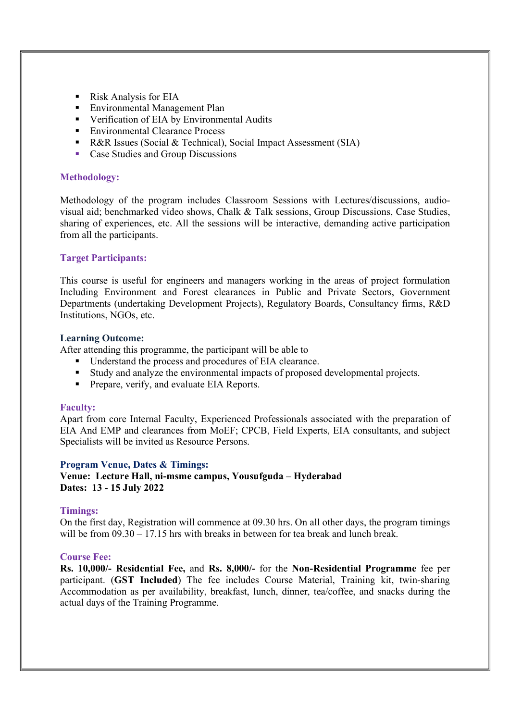- Risk Analysis for EIA
- **Environmental Management Plan**
- **•** Verification of EIA by Environmental Audits
- Environmental Clearance Process
- R&R Issues (Social & Technical), Social Impact Assessment (SIA)
- Case Studies and Group Discussions

## Methodology:

Methodology of the program includes Classroom Sessions with Lectures/discussions, audiovisual aid; benchmarked video shows, Chalk & Talk sessions, Group Discussions, Case Studies, sharing of experiences, etc. All the sessions will be interactive, demanding active participation from all the participants.

## Target Participants:

This course is useful for engineers and managers working in the areas of project formulation Including Environment and Forest clearances in Public and Private Sectors, Government Departments (undertaking Development Projects), Regulatory Boards, Consultancy firms, R&D Institutions, NGOs, etc.

#### Learning Outcome:

After attending this programme, the participant will be able to

- Understand the process and procedures of EIA clearance.
- Study and analyze the environmental impacts of proposed developmental projects.
- **Prepare, verify, and evaluate EIA Reports.**

#### Faculty:

Apart from core Internal Faculty, Experienced Professionals associated with the preparation of EIA And EMP and clearances from MoEF; CPCB, Field Experts, EIA consultants, and subject Specialists will be invited as Resource Persons.

#### Program Venue, Dates & Timings:

Venue: Lecture Hall, ni-msme campus, Yousufguda – Hyderabad Dates: 13 - 15 July 2022

#### Timings:

On the first day, Registration will commence at 09.30 hrs. On all other days, the program timings will be from  $09.30 - 17.15$  hrs with breaks in between for tea break and lunch break.

#### Course Fee:

Rs. 10,000/- Residential Fee, and Rs. 8,000/- for the Non-Residential Programme fee per participant. (GST Included) The fee includes Course Material, Training kit, twin-sharing Accommodation as per availability, breakfast, lunch, dinner, tea/coffee, and snacks during the actual days of the Training Programme.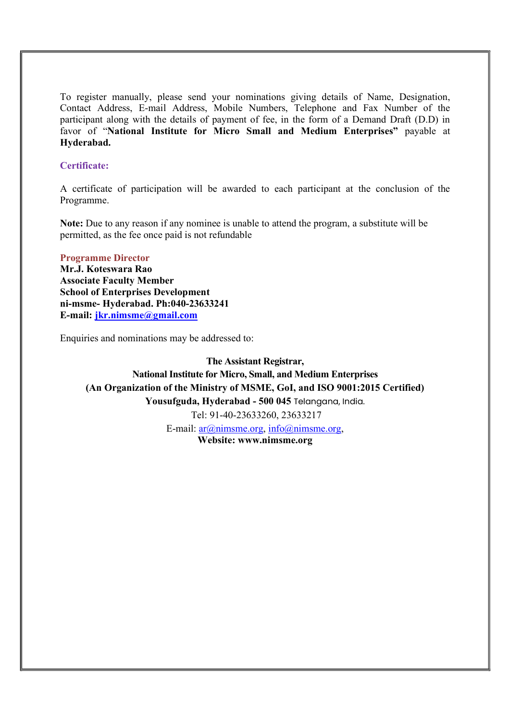To register manually, please send your nominations giving details of Name, Designation, Contact Address, E-mail Address, Mobile Numbers, Telephone and Fax Number of the participant along with the details of payment of fee, in the form of a Demand Draft (D.D) in favor of "National Institute for Micro Small and Medium Enterprises" payable at Hyderabad.

## Certificate:

A certificate of participation will be awarded to each participant at the conclusion of the Programme.

Note: Due to any reason if any nominee is unable to attend the program, a substitute will be permitted, as the fee once paid is not refundable

#### Programme Director

Mr.J. Koteswara Rao Associate Faculty Member School of Enterprises Development ni-msme- Hyderabad. Ph:040-23633241 E-mail: jkr.nimsme@gmail.com

Enquiries and nominations may be addressed to:

The Assistant Registrar, National Institute for Micro, Small, and Medium Enterprises (An Organization of the Ministry of MSME, GoI, and ISO 9001:2015 Certified) Yousufguda, Hyderabad - 500 045 Telangana, India. Tel: 91-40-23633260, 23633217 E-mail:  $ar(\omega n$ imsme.org, info $\omega$ nimsme.org, Website: www.nimsme.org